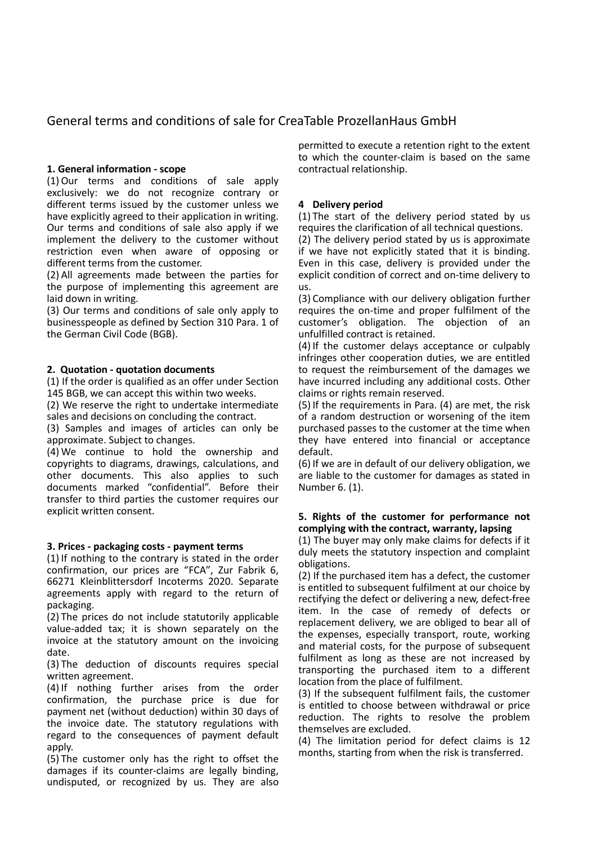# General terms and conditions of sale for CreaTable ProzellanHaus GmbH

### **1. General information - scope**

(1) Our terms and conditions of sale apply exclusively: we do not recognize contrary or different terms issued by the customer unless we have explicitly agreed to their application in writing. Our terms and conditions of sale also apply if we implement the delivery to the customer without restriction even when aware of opposing or different terms from the customer.

(2) All agreements made between the parties for the purpose of implementing this agreement are laid down in writing.

(3) Our terms and conditions of sale only apply to businesspeople as defined by Section 310 Para. 1 of the German Civil Code (BGB).

#### **2. Quotation - quotation documents**

(1) If the order is qualified as an offer under Section 145 BGB, we can accept this within two weeks.

(2) We reserve the right to undertake intermediate sales and decisions on concluding the contract.

(3) Samples and images of articles can only be approximate. Subject to changes.

(4) We continue to hold the ownership and copyrights to diagrams, drawings, calculations, and other documents. This also applies to such documents marked "confidential". Before their transfer to third parties the customer requires our explicit written consent.

#### **3. Prices - packaging costs - payment terms**

(1) If nothing to the contrary is stated in the order confirmation, our prices are "FCA", Zur Fabrik 6, 66271 Kleinblittersdorf Incoterms 2020. Separate agreements apply with regard to the return of packaging.

(2) The prices do not include statutorily applicable value-added tax; it is shown separately on the invoice at the statutory amount on the invoicing date.

(3) The deduction of discounts requires special written agreement.

(4) If nothing further arises from the order confirmation, the purchase price is due for payment net (without deduction) within 30 days of the invoice date. The statutory regulations with regard to the consequences of payment default apply.

(5) The customer only has the right to offset the damages if its counter-claims are legally binding, undisputed, or recognized by us. They are also permitted to execute a retention right to the extent to which the counter-claim is based on the same contractual relationship.

### **4 Delivery period**

(1) The start of the delivery period stated by us requires the clarification of all technical questions.

(2) The delivery period stated by us is approximate if we have not explicitly stated that it is binding. Even in this case, delivery is provided under the explicit condition of correct and on-time delivery to us.

(3) Compliance with our delivery obligation further requires the on-time and proper fulfilment of the customer's obligation. The objection of an unfulfilled contract is retained.

(4) If the customer delays acceptance or culpably infringes other cooperation duties, we are entitled to request the reimbursement of the damages we have incurred including any additional costs. Other claims or rights remain reserved.

(5) If the requirements in Para. (4) are met, the risk of a random destruction or worsening of the item purchased passes to the customer at the time when they have entered into financial or acceptance default.

(6) If we are in default of our delivery obligation, we are liable to the customer for damages as stated in Number 6. (1).

### **5. Rights of the customer for performance not complying with the contract, warranty, lapsing**

(1) The buyer may only make claims for defects if it duly meets the statutory inspection and complaint obligations.

(2) If the purchased item has a defect, the customer is entitled to subsequent fulfilment at our choice by rectifying the defect or delivering a new, defect-free item. In the case of remedy of defects or replacement delivery, we are obliged to bear all of the expenses, especially transport, route, working and material costs, for the purpose of subsequent fulfilment as long as these are not increased by transporting the purchased item to a different location from the place of fulfilment.

(3) If the subsequent fulfilment fails, the customer is entitled to choose between withdrawal or price reduction. The rights to resolve the problem themselves are excluded.

(4) The limitation period for defect claims is 12 months, starting from when the risk is transferred.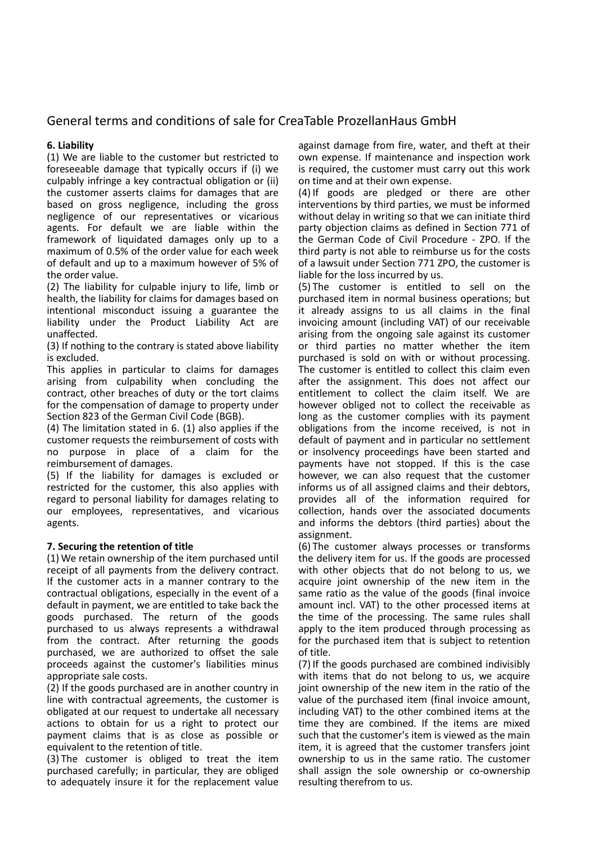# General terms and conditions of sale for CreaTable ProzellanHaus GmbH

## **6. Liability**

(1) We are liable to the customer but restricted to foreseeable damage that typically occurs if (i) we culpably infringe a key contractual obligation or (ii) the customer asserts claims for damages that are based on gross negligence, including the gross negligence of our representatives or vicarious agents. For default we are liable within the framework of liquidated damages only up to a maximum of 0.5% of the order value for each week of default and up to a maximum however of 5% of the order value.

(2) The liability for culpable injury to life, limb or health, the liability for claims for damages based on intentional misconduct issuing a guarantee the liability under the Product Liability Act are unaffected.

(3) If nothing to the contrary is stated above liability is excluded.

This applies in particular to claims for damages arising from culpability when concluding the contract, other breaches of duty or the tort claims for the compensation of damage to property under Section 823 of the German Civil Code (BGB).

(4) The limitation stated in 6. (1) also applies if the customer requests the reimbursement of costs with no purpose in place of a claim for the reimbursement of damages.

(5) If the liability for damages is excluded or restricted for the customer, this also applies with regard to personal liability for damages relating to our employees, representatives, and vicarious agents.

### **7. Securing the retention of title**

(1) We retain ownership of the item purchased until receipt of all payments from the delivery contract. If the customer acts in a manner contrary to the contractual obligations, especially in the event of a default in payment, we are entitled to take back the goods purchased. The return of the goods purchased to us always represents a withdrawal from the contract. After returning the goods purchased, we are authorized to offset the sale proceeds against the customer's liabilities minus appropriate sale costs.

(2) If the goods purchased are in another country in line with contractual agreements, the customer is obligated at our request to undertake all necessary actions to obtain for us a right to protect our payment claims that is as close as possible or equivalent to the retention of title.

(3) The customer is obliged to treat the item purchased carefully; in particular, they are obliged to adequately insure it for the replacement value against damage from fire, water, and theft at their own expense. If maintenance and inspection work is required, the customer must carry out this work on time and at their own expense.

(4) If goods are pledged or there are other interventions by third parties, we must be informed without delay in writing so that we can initiate third party objection claims as defined in Section 771 of the German Code of Civil Procedure - ZPO. If the third party is not able to reimburse us for the costs of a lawsuit under Section 771 ZPO, the customer is liable for the loss incurred by us.

(5) The customer is entitled to sell on the purchased item in normal business operations; but it already assigns to us all claims in the final invoicing amount (including VAT) of our receivable arising from the ongoing sale against its customer or third parties no matter whether the item purchased is sold on with or without processing. The customer is entitled to collect this claim even after the assignment. This does not affect our entitlement to collect the claim itself. We are however obliged not to collect the receivable as long as the customer complies with its payment obligations from the income received, is not in default of payment and in particular no settlement or insolvency proceedings have been started and payments have not stopped. If this is the case however, we can also request that the customer informs us of all assigned claims and their debtors, provides all of the information required for collection, hands over the associated documents and informs the debtors (third parties) about the assignment.

(6) The customer always processes or transforms the delivery item for us. If the goods are processed with other objects that do not belong to us, we acquire joint ownership of the new item in the same ratio as the value of the goods (final invoice amount incl. VAT) to the other processed items at the time of the processing. The same rules shall apply to the item produced through processing as for the purchased item that is subject to retention of title.

(7) If the goods purchased are combined indivisibly with items that do not belong to us, we acquire joint ownership of the new item in the ratio of the value of the purchased item (final invoice amount, including VAT) to the other combined items at the time they are combined. If the items are mixed such that the customer's item is viewed as the main item, it is agreed that the customer transfers joint ownership to us in the same ratio. The customer shall assign the sole ownership or co-ownership resulting therefrom to us.